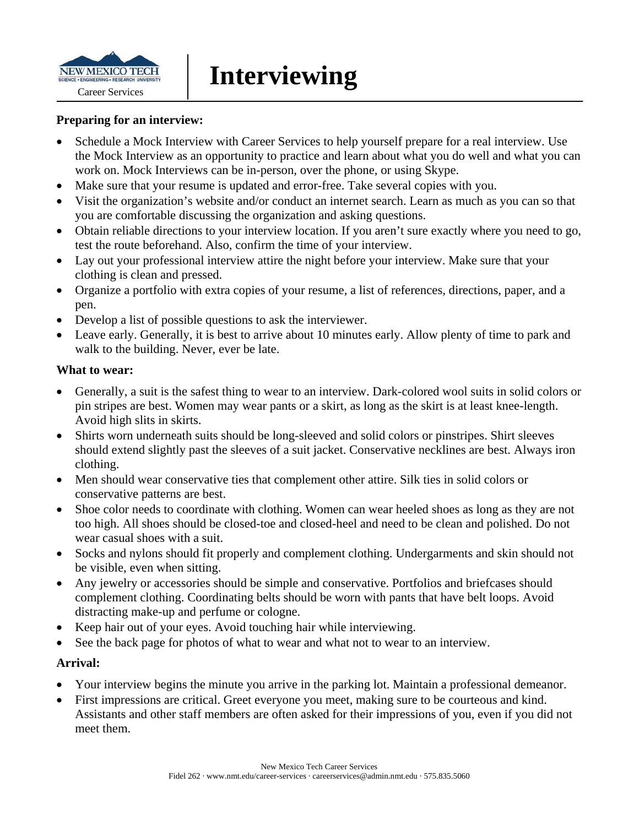

#### **Preparing for an interview:**

- Schedule a Mock Interview with Career Services to help yourself prepare for a real interview. Use the Mock Interview as an opportunity to practice and learn about what you do well and what you can work on. Mock Interviews can be in-person, over the phone, or using Skype.
- Make sure that your resume is updated and error-free. Take several copies with you.
- Visit the organization's website and/or conduct an internet search. Learn as much as you can so that you are comfortable discussing the organization and asking questions.
- Obtain reliable directions to your interview location. If you aren't sure exactly where you need to go, test the route beforehand. Also, confirm the time of your interview.
- Lay out your professional interview attire the night before your interview. Make sure that your clothing is clean and pressed.
- Organize a portfolio with extra copies of your resume, a list of references, directions, paper, and a pen.
- Develop a list of possible questions to ask the interviewer.
- Leave early. Generally, it is best to arrive about 10 minutes early. Allow plenty of time to park and walk to the building. Never, ever be late.

#### **What to wear:**

- Generally, a suit is the safest thing to wear to an interview. Dark-colored wool suits in solid colors or pin stripes are best. Women may wear pants or a skirt, as long as the skirt is at least knee-length. Avoid high slits in skirts.
- Shirts worn underneath suits should be long-sleeved and solid colors or pinstripes. Shirt sleeves should extend slightly past the sleeves of a suit jacket. Conservative necklines are best. Always iron clothing.
- Men should wear conservative ties that complement other attire. Silk ties in solid colors or conservative patterns are best.
- Shoe color needs to coordinate with clothing. Women can wear heeled shoes as long as they are not too high. All shoes should be closed-toe and closed-heel and need to be clean and polished. Do not wear casual shoes with a suit.
- Socks and nylons should fit properly and complement clothing. Undergarments and skin should not be visible, even when sitting.
- Any jewelry or accessories should be simple and conservative. Portfolios and briefcases should complement clothing. Coordinating belts should be worn with pants that have belt loops. Avoid distracting make-up and perfume or cologne.
- Keep hair out of your eyes. Avoid touching hair while interviewing.
- See the back page for photos of what to wear and what not to wear to an interview.

#### **Arrival:**

- Your interview begins the minute you arrive in the parking lot. Maintain a professional demeanor.
- First impressions are critical. Greet everyone you meet, making sure to be courteous and kind. Assistants and other staff members are often asked for their impressions of you, even if you did not meet them.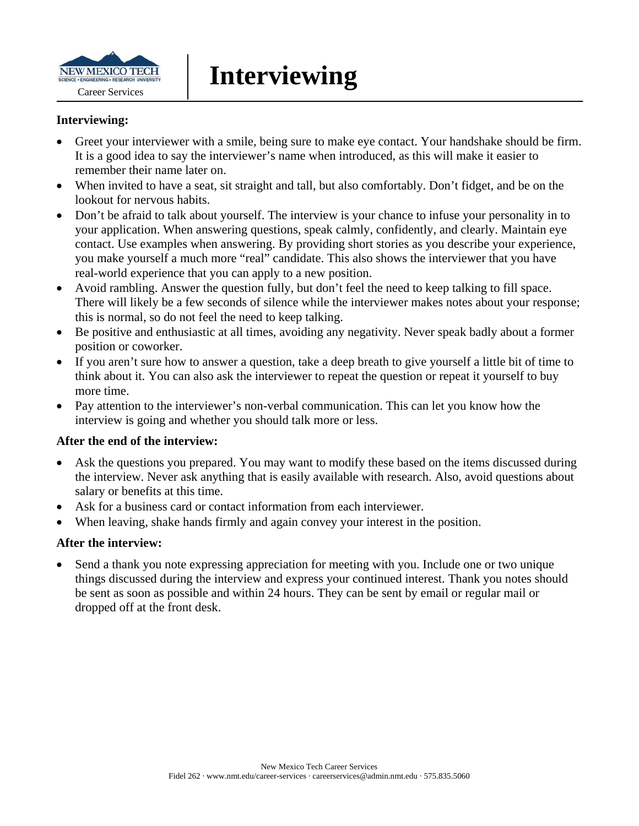

#### **Interviewing:**

- Greet your interviewer with a smile, being sure to make eye contact. Your handshake should be firm. It is a good idea to say the interviewer's name when introduced, as this will make it easier to remember their name later on.
- When invited to have a seat, sit straight and tall, but also comfortably. Don't fidget, and be on the lookout for nervous habits.
- Don't be afraid to talk about yourself. The interview is your chance to infuse your personality in to your application. When answering questions, speak calmly, confidently, and clearly. Maintain eye contact. Use examples when answering. By providing short stories as you describe your experience, you make yourself a much more "real" candidate. This also shows the interviewer that you have real-world experience that you can apply to a new position.
- Avoid rambling. Answer the question fully, but don't feel the need to keep talking to fill space. There will likely be a few seconds of silence while the interviewer makes notes about your response; this is normal, so do not feel the need to keep talking.
- Be positive and enthusiastic at all times, avoiding any negativity. Never speak badly about a former position or coworker.
- If you aren't sure how to answer a question, take a deep breath to give yourself a little bit of time to think about it. You can also ask the interviewer to repeat the question or repeat it yourself to buy more time.
- Pay attention to the interviewer's non-verbal communication. This can let you know how the interview is going and whether you should talk more or less.

#### **After the end of the interview:**

- Ask the questions you prepared. You may want to modify these based on the items discussed during the interview. Never ask anything that is easily available with research. Also, avoid questions about salary or benefits at this time.
- Ask for a business card or contact information from each interviewer.
- When leaving, shake hands firmly and again convey your interest in the position.

#### **After the interview:**

 Send a thank you note expressing appreciation for meeting with you. Include one or two unique things discussed during the interview and express your continued interest. Thank you notes should be sent as soon as possible and within 24 hours. They can be sent by email or regular mail or dropped off at the front desk.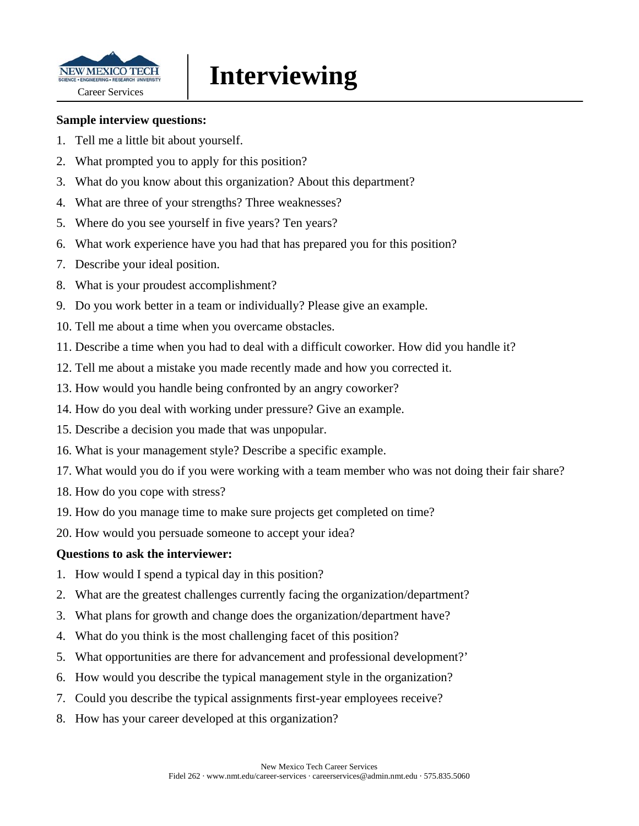

#### **Sample interview questions:**

- 1. Tell me a little bit about yourself.
- 2. What prompted you to apply for this position?
- 3. What do you know about this organization? About this department?
- 4. What are three of your strengths? Three weaknesses?
- 5. Where do you see yourself in five years? Ten years?
- 6. What work experience have you had that has prepared you for this position?
- 7. Describe your ideal position.
- 8. What is your proudest accomplishment?
- 9. Do you work better in a team or individually? Please give an example.
- 10. Tell me about a time when you overcame obstacles.
- 11. Describe a time when you had to deal with a difficult coworker. How did you handle it?
- 12. Tell me about a mistake you made recently made and how you corrected it.
- 13. How would you handle being confronted by an angry coworker?
- 14. How do you deal with working under pressure? Give an example.
- 15. Describe a decision you made that was unpopular.
- 16. What is your management style? Describe a specific example.
- 17. What would you do if you were working with a team member who was not doing their fair share?
- 18. How do you cope with stress?
- 19. How do you manage time to make sure projects get completed on time?
- 20. How would you persuade someone to accept your idea?

#### **Questions to ask the interviewer:**

- 1. How would I spend a typical day in this position?
- 2. What are the greatest challenges currently facing the organization/department?
- 3. What plans for growth and change does the organization/department have?
- 4. What do you think is the most challenging facet of this position?
- 5. What opportunities are there for advancement and professional development?'
- 6. How would you describe the typical management style in the organization?
- 7. Could you describe the typical assignments first-year employees receive?
- 8. How has your career developed at this organization?